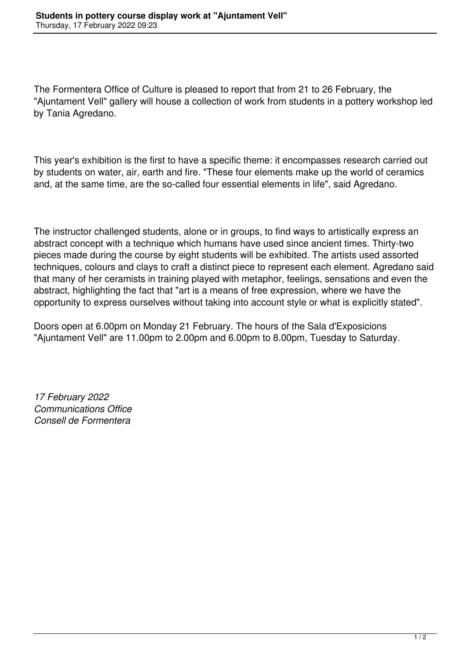The Formentera Office of Culture is pleased to report that from 21 to 26 February, the "Ajuntament Vell" gallery will house a collection of work from students in a pottery workshop led by Tania Agredano.

This year's exhibition is the first to have a specific theme: it encompasses research carried out by students on water, air, earth and fire. "These four elements make up the world of ceramics and, at the same time, are the so-called four essential elements in life", said Agredano.

The instructor challenged students, alone or in groups, to find ways to artistically express an abstract concept with a technique which humans have used since ancient times. Thirty-two pieces made during the course by eight students will be exhibited. The artists used assorted techniques, colours and clays to craft a distinct piece to represent each element. Agredano said that many of her ceramists in training played with metaphor, feelings, sensations and even the abstract, highlighting the fact that "art is a means of free expression, where we have the opportunity to express ourselves without taking into account style or what is explicitly stated".

Doors open at 6.00pm on Monday 21 February. The hours of the Sala d'Exposicions "Ajuntament Vell" are 11.00pm to 2.00pm and 6.00pm to 8.00pm, Tuesday to Saturday.

*17 February 2022 Communications Office Consell de Formentera*